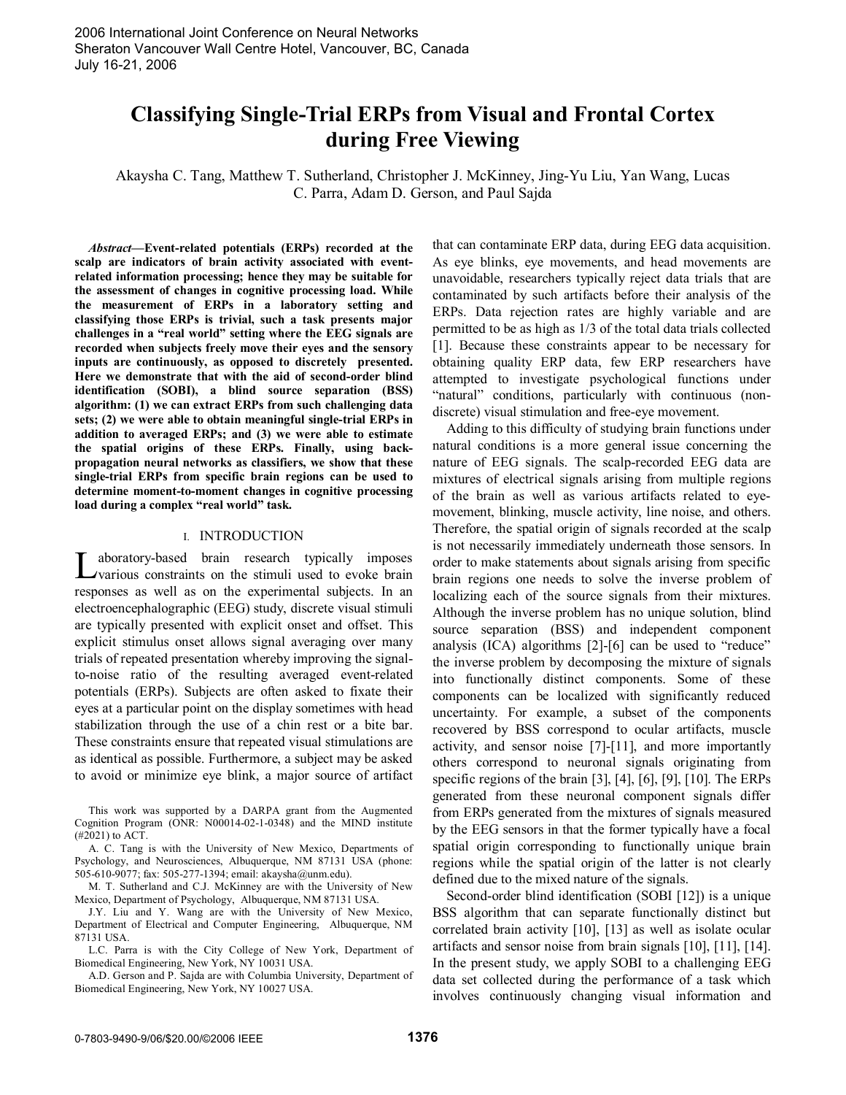# **Classifying Single-Trial ERPs from Visual and Frontal Cortex during Free Viewing**

Akaysha C. Tang, Matthew T. Sutherland, Christopher J. McKinney, Jing-Yu Liu, Yan Wang, Lucas C. Parra, Adam D. Gerson, and Paul Sajda

*Abstract***—Event-related potentials (ERPs) recorded at the scalp are indicators of brain activity associated with eventrelated information processing; hence they may be suitable for the assessment of changes in cognitive processing load. While the measurement of ERPs in a laboratory setting and classifying those ERPs is trivial, such a task presents major challenges in a "real world" setting where the EEG signals are recorded when subjects freely move their eyes and the sensory inputs are continuously, as opposed to discretely presented. Here we demonstrate that with the aid of second-order blind identification (SOBI), a blind source separation (BSS) algorithm: (1) we can extract ERPs from such challenging data sets; (2) we were able to obtain meaningful single-trial ERPs in addition to averaged ERPs; and (3) we were able to estimate the spatial origins of these ERPs. Finally, using backpropagation neural networks as classifiers, we show that these single-trial ERPs from specific brain regions can be used to determine moment-to-moment changes in cognitive processing load during a complex "real world" task.** 

#### I. INTRODUCTION

aboratory-based brain research typically imposes Laboratory-based brain research typically imposes<br>
various constraints on the stimuli used to evoke brain responses as well as on the experimental subjects. In an electroencephalographic (EEG) study, discrete visual stimuli are typically presented with explicit onset and offset. This explicit stimulus onset allows signal averaging over many trials of repeated presentation whereby improving the signalto-noise ratio of the resulting averaged event-related potentials (ERPs). Subjects are often asked to fixate their eyes at a particular point on the display sometimes with head stabilization through the use of a chin rest or a bite bar. These constraints ensure that repeated visual stimulations are as identical as possible. Furthermore, a subject may be asked to avoid or minimize eye blink, a major source of artifact

This work was supported by a DARPA grant from the Augmented Cognition Program (ONR: N00014-02-1-0348) and the MIND institute (#2021) to ACT.

A. C. Tang is with the University of New Mexico, Departments of Psychology, and Neurosciences, Albuquerque, NM 87131 USA (phone: 505-610-9077; fax: 505-277-1394; email: akaysha@unm.edu).

M. T. Sutherland and C.J. McKinney are with the University of New Mexico, Department of Psychology, Albuquerque, NM 87131 USA.

J.Y. Liu and Y. Wang are with the University of New Mexico, Department of Electrical and Computer Engineering, Albuquerque, NM 87131 USA.

L.C. Parra is with the City College of New York, Department of Biomedical Engineering, New York, NY 10031 USA.

A.D. Gerson and P. Sajda are with Columbia University, Department of Biomedical Engineering, New York, NY 10027 USA.

that can contaminate ERP data, during EEG data acquisition. As eye blinks, eye movements, and head movements are unavoidable, researchers typically reject data trials that are contaminated by such artifacts before their analysis of the ERPs. Data rejection rates are highly variable and are permitted to be as high as 1/3 of the total data trials collected [1]. Because these constraints appear to be necessary for obtaining quality ERP data, few ERP researchers have attempted to investigate psychological functions under "natural" conditions, particularly with continuous (nondiscrete) visual stimulation and free-eye movement.

Adding to this difficulty of studying brain functions under natural conditions is a more general issue concerning the nature of EEG signals. The scalp-recorded EEG data are mixtures of electrical signals arising from multiple regions of the brain as well as various artifacts related to eyemovement, blinking, muscle activity, line noise, and others. Therefore, the spatial origin of signals recorded at the scalp is not necessarily immediately underneath those sensors. In order to make statements about signals arising from specific brain regions one needs to solve the inverse problem of localizing each of the source signals from their mixtures. Although the inverse problem has no unique solution, blind source separation (BSS) and independent component analysis (ICA) algorithms [2]-[6] can be used to "reduce" the inverse problem by decomposing the mixture of signals into functionally distinct components. Some of these components can be localized with significantly reduced uncertainty. For example, a subset of the components recovered by BSS correspond to ocular artifacts, muscle activity, and sensor noise [7]-[11], and more importantly others correspond to neuronal signals originating from specific regions of the brain [3], [4], [6], [9], [10]. The ERPs generated from these neuronal component signals differ from ERPs generated from the mixtures of signals measured by the EEG sensors in that the former typically have a focal spatial origin corresponding to functionally unique brain regions while the spatial origin of the latter is not clearly defined due to the mixed nature of the signals.

Second-order blind identification (SOBI [12]) is a unique BSS algorithm that can separate functionally distinct but correlated brain activity [10], [13] as well as isolate ocular artifacts and sensor noise from brain signals [10], [11], [14]. In the present study, we apply SOBI to a challenging EEG data set collected during the performance of a task which involves continuously changing visual information and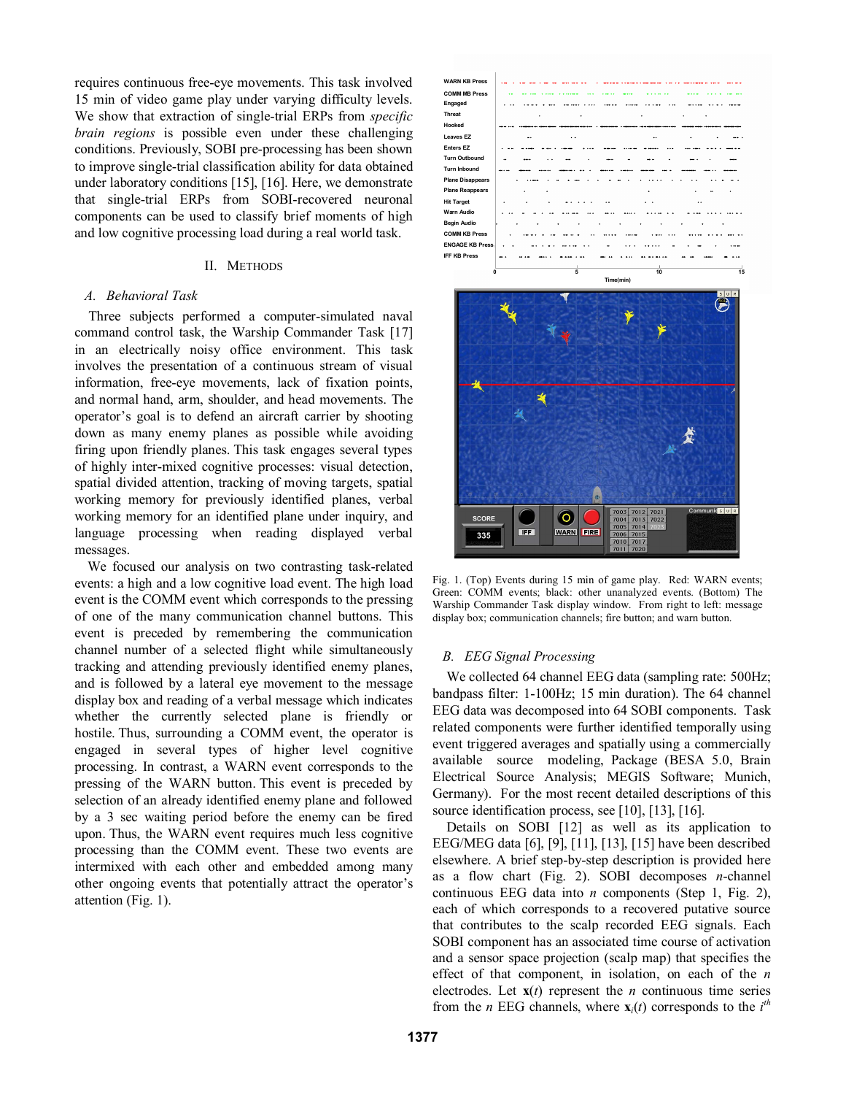requires continuous free-eye movements. This task involved 15 min of video game play under varying difficulty levels. We show that extraction of single-trial ERPs from *specific brain regions* is possible even under these challenging conditions. Previously, SOBI pre-processing has been shown to improve single-trial classification ability for data obtained under laboratory conditions [15], [16]. Here, we demonstrate that single-trial ERPs from SOBI-recovered neuronal components can be used to classify brief moments of high and low cognitive processing load during a real world task.

### II. METHODS

### *A. Behavioral Task*

Three subjects performed a computer-simulated naval command control task, the Warship Commander Task [17] in an electrically noisy office environment. This task involves the presentation of a continuous stream of visual information, free-eye movements, lack of fixation points, and normal hand, arm, shoulder, and head movements. The operator's goal is to defend an aircraft carrier by shooting down as many enemy planes as possible while avoiding firing upon friendly planes. This task engages several types of highly inter-mixed cognitive processes: visual detection, spatial divided attention, tracking of moving targets, spatial working memory for previously identified planes, verbal working memory for an identified plane under inquiry, and language processing when reading displayed verbal messages.

We focused our analysis on two contrasting task-related events: a high and a low cognitive load event. The high load event is the COMM event which corresponds to the pressing of one of the many communication channel buttons. This event is preceded by remembering the communication channel number of a selected flight while simultaneously tracking and attending previously identified enemy planes, and is followed by a lateral eye movement to the message display box and reading of a verbal message which indicates whether the currently selected plane is friendly or hostile. Thus, surrounding a COMM event, the operator is engaged in several types of higher level cognitive processing. In contrast, a WARN event corresponds to the pressing of the WARN button. This event is preceded by selection of an already identified enemy plane and followed by a 3 sec waiting period before the enemy can be fired upon. Thus, the WARN event requires much less cognitive processing than the COMM event. These two events are intermixed with each other and embedded among many other ongoing events that potentially attract the operator's attention (Fig. 1).





0

**WARN** FIRE  $\begin{array}{|c|c|}\n 2 & 702 \\
 \hline\n 3 & 702\n \end{array}$ 

#### *B. EEG Signal Processing*

**IFF** 

**SCORI** 

335

We collected 64 channel EEG data (sampling rate: 500Hz; bandpass filter: 1-100Hz; 15 min duration). The 64 channel EEG data was decomposed into 64 SOBI components. Task related components were further identified temporally using event triggered averages and spatially using a commercially available source modeling, Package (BESA 5.0, Brain Electrical Source Analysis; MEGIS Software; Munich, Germany). For the most recent detailed descriptions of this source identification process, see [10], [13], [16].

Details on SOBI [12] as well as its application to EEG/MEG data [6], [9], [11], [13], [15] have been described elsewhere. A brief step-by-step description is provided here as a flow chart (Fig. 2). SOBI decomposes *n*-channel continuous EEG data into *n* components (Step 1, Fig. 2), each of which corresponds to a recovered putative source that contributes to the scalp recorded EEG signals. Each SOBI component has an associated time course of activation and a sensor space projection (scalp map) that specifies the effect of that component, in isolation, on each of the *n* electrodes. Let  $\mathbf{x}(t)$  represent the *n* continuous time series from the *n* EEG channels, where  $\mathbf{x}_i(t)$  corresponds to the  $i^{th}$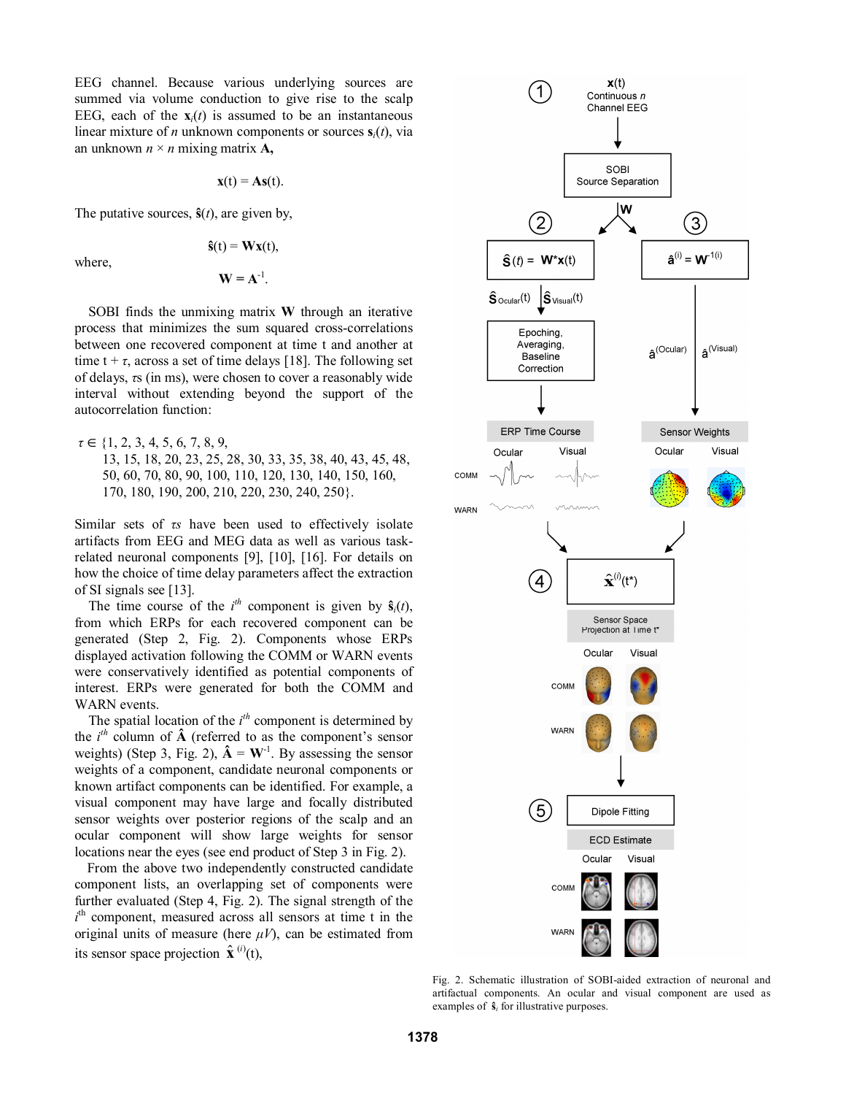EEG channel. Because various underlying sources are summed via volume conduction to give rise to the scalp EEG, each of the  $\mathbf{x}_i(t)$  is assumed to be an instantaneous linear mixture of *n* unknown components or sources **s***i*(*t*), via an unknown  $n \times n$  mixing matrix **A**,

$$
\mathbf{x}(t) = \mathbf{A}\mathbf{s}(t).
$$

The putative sources, **ŝ**(*t*), are given by,

where,

$$
\mathbf{W} = \mathbf{A}^{-1}.
$$

 $\hat{\mathbf{s}}(t) = \mathbf{W}\mathbf{x}(t),$ 

SOBI finds the unmixing matrix **W** through an iterative process that minimizes the sum squared cross-correlations between one recovered component at time t and another at time  $t + \tau$ , across a set of time delays [18]. The following set of delays, *τ*s (in ms), were chosen to cover a reasonably wide interval without extending beyond the support of the autocorrelation function:

*τ* ∈ {1, 2, 3, 4, 5, 6, 7, 8, 9, 13, 15, 18, 20, 23, 25, 28, 30, 33, 35, 38, 40, 43, 45, 48, 50, 60, 70, 80, 90, 100, 110, 120, 130, 140, 150, 160, 170, 180, 190, 200, 210, 220, 230, 240, 250}.

Similar sets of *τs* have been used to effectively isolate artifacts from EEG and MEG data as well as various taskrelated neuronal components [9], [10], [16]. For details on how the choice of time delay parameters affect the extraction of SI signals see [13].

The time course of the  $i^{th}$  component is given by  $\hat{\mathbf{s}}_i(t)$ , from which ERPs for each recovered component can be generated (Step 2, Fig. 2). Components whose ERPs displayed activation following the COMM or WARN events were conservatively identified as potential components of interest. ERPs were generated for both the COMM and WARN events.

The spatial location of the  $i<sup>th</sup>$  component is determined by the  $i^{th}$  column of  $\hat{A}$  (referred to as the component's sensor weights) (Step 3, Fig. 2),  $\hat{A} = W^{-1}$ . By assessing the sensor weights of a component, candidate neuronal components or known artifact components can be identified. For example, a visual component may have large and focally distributed sensor weights over posterior regions of the scalp and an ocular component will show large weights for sensor locations near the eyes (see end product of Step 3 in Fig. 2).

From the above two independently constructed candidate component lists, an overlapping set of components were further evaluated (Step 4, Fig. 2). The signal strength of the *i*<sup>th</sup> component, measured across all sensors at time t in the original units of measure (here  $\mu V$ ), can be estimated from its sensor space projection  $\hat{\mathbf{x}}^{(i)}(t)$ ,



Fig. 2. Schematic illustration of SOBI-aided extraction of neuronal and artifactual components. An ocular and visual component are used as examples of **ŝ***i* for illustrative purposes.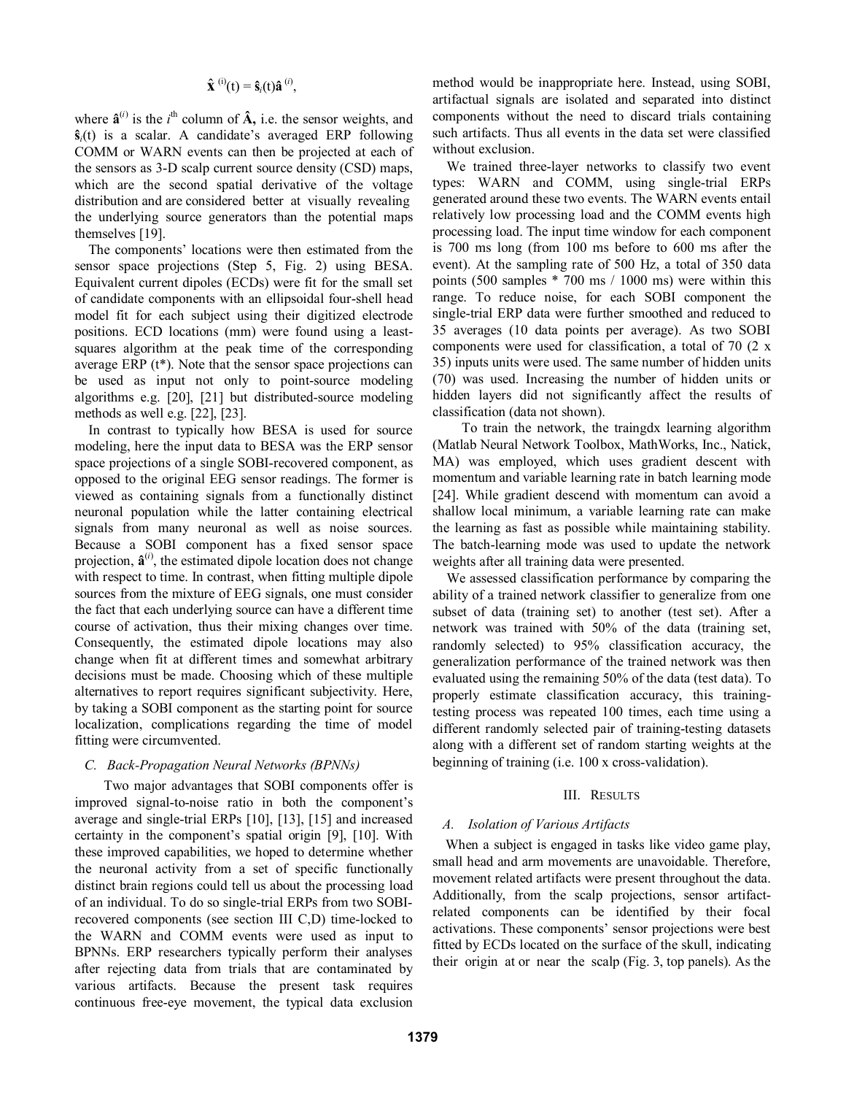$$
\hat{\mathbf{x}}^{(i)}(t) = \hat{\mathbf{s}}_i(t)\hat{\mathbf{a}}^{(i)},
$$

where  $\hat{\mathbf{a}}^{(i)}$  is the *i*<sup>th</sup> column of  $\hat{\mathbf{A}}$ , i.e. the sensor weights, and **ŝ***i*(t) is a scalar. A candidate's averaged ERP following COMM or WARN events can then be projected at each of the sensors as 3-D scalp current source density (CSD) maps, which are the second spatial derivative of the voltage distribution and are considered better at visually revealing the underlying source generators than the potential maps themselves [19].

The components' locations were then estimated from the sensor space projections (Step 5, Fig. 2) using BESA. Equivalent current dipoles (ECDs) were fit for the small set of candidate components with an ellipsoidal four-shell head model fit for each subject using their digitized electrode positions. ECD locations (mm) were found using a leastsquares algorithm at the peak time of the corresponding average ERP (t\*). Note that the sensor space projections can be used as input not only to point-source modeling algorithms e.g. [20], [21] but distributed-source modeling methods as well e.g. [22], [23].

In contrast to typically how BESA is used for source modeling, here the input data to BESA was the ERP sensor space projections of a single SOBI-recovered component, as opposed to the original EEG sensor readings. The former is viewed as containing signals from a functionally distinct neuronal population while the latter containing electrical signals from many neuronal as well as noise sources. Because a SOBI component has a fixed sensor space projection,  $\hat{\mathbf{a}}^{(i)}$ , the estimated dipole location does not change with respect to time. In contrast, when fitting multiple dipole sources from the mixture of EEG signals, one must consider the fact that each underlying source can have a different time course of activation, thus their mixing changes over time. Consequently, the estimated dipole locations may also change when fit at different times and somewhat arbitrary decisions must be made. Choosing which of these multiple alternatives to report requires significant subjectivity. Here, by taking a SOBI component as the starting point for source localization, complications regarding the time of model fitting were circumvented.

#### *C. Back-Propagation Neural Networks (BPNNs)*

Two major advantages that SOBI components offer is improved signal-to-noise ratio in both the component's average and single-trial ERPs [10], [13], [15] and increased certainty in the component's spatial origin [9], [10]. With these improved capabilities, we hoped to determine whether the neuronal activity from a set of specific functionally distinct brain regions could tell us about the processing load of an individual. To do so single-trial ERPs from two SOBIrecovered components (see section III C,D) time-locked to the WARN and COMM events were used as input to BPNNs. ERP researchers typically perform their analyses after rejecting data from trials that are contaminated by various artifacts. Because the present task requires continuous free-eye movement, the typical data exclusion

method would be inappropriate here. Instead, using SOBI, artifactual signals are isolated and separated into distinct components without the need to discard trials containing such artifacts. Thus all events in the data set were classified without exclusion.

We trained three-layer networks to classify two event types: WARN and COMM, using single-trial ERPs generated around these two events. The WARN events entail relatively low processing load and the COMM events high processing load. The input time window for each component is 700 ms long (from 100 ms before to 600 ms after the event). At the sampling rate of 500 Hz, a total of 350 data points (500 samples \* 700 ms / 1000 ms) were within this range. To reduce noise, for each SOBI component the single-trial ERP data were further smoothed and reduced to 35 averages (10 data points per average). As two SOBI components were used for classification, a total of 70 (2 x 35) inputs units were used. The same number of hidden units (70) was used. Increasing the number of hidden units or hidden layers did not significantly affect the results of classification (data not shown).

To train the network, the traingdx learning algorithm (Matlab Neural Network Toolbox, MathWorks, Inc., Natick, MA) was employed, which uses gradient descent with momentum and variable learning rate in batch learning mode [24]. While gradient descend with momentum can avoid a shallow local minimum, a variable learning rate can make the learning as fast as possible while maintaining stability. The batch-learning mode was used to update the network weights after all training data were presented.

We assessed classification performance by comparing the ability of a trained network classifier to generalize from one subset of data (training set) to another (test set). After a network was trained with 50% of the data (training set, randomly selected) to 95% classification accuracy, the generalization performance of the trained network was then evaluated using the remaining 50% of the data (test data). To properly estimate classification accuracy, this trainingtesting process was repeated 100 times, each time using a different randomly selected pair of training-testing datasets along with a different set of random starting weights at the beginning of training (i.e. 100 x cross-validation).

### III. RESULTS

#### *A. Isolation of Various Artifacts*

When a subject is engaged in tasks like video game play, small head and arm movements are unavoidable. Therefore, movement related artifacts were present throughout the data. Additionally, from the scalp projections, sensor artifactrelated components can be identified by their focal activations. These components' sensor projections were best fitted by ECDs located on the surface of the skull, indicating their origin at or near the scalp (Fig. 3, top panels). As the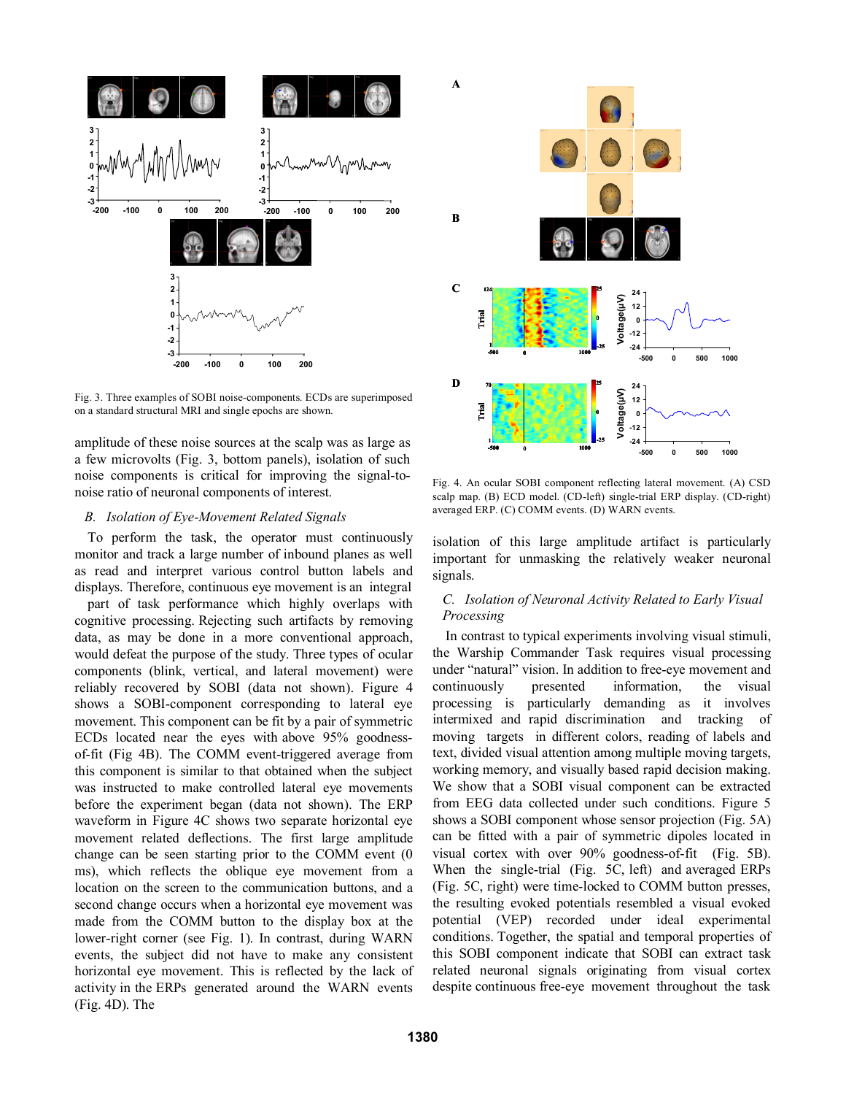

Fig. 3. Three examples of SOBI noise-components. ECDs are superimposed on a standard structural MRI and single epochs are shown.

amplitude of these noise sources at the scalp was as large as a few microvolts (Fig. 3, bottom panels), isolation of such noise components is critical for improving the signal-tonoise ratio of neuronal components of interest.

#### *B. Isolation of Eye-Movement Related Signals*

To perform the task, the operator must continuously monitor and track a large number of inbound planes as well as read and interpret various control button labels and displays. Therefore, continuous eye movement is an integral

part of task performance which highly overlaps with cognitive processing. Rejecting such artifacts by removing data, as may be done in a more conventional approach, would defeat the purpose of the study. Three types of ocular components (blink, vertical, and lateral movement) were reliably recovered by SOBI (data not shown). Figure 4 shows a SOBI-component corresponding to lateral eye movement. This component can be fit by a pair of symmetric ECDs located near the eyes with above 95% goodnessof-fit (Fig 4B). The COMM event-triggered average from this component is similar to that obtained when the subject was instructed to make controlled lateral eye movements before the experiment began (data not shown). The ERP waveform in Figure 4C shows two separate horizontal eye movement related deflections. The first large amplitude change can be seen starting prior to the COMM event (0 ms), which reflects the oblique eye movement from a location on the screen to the communication buttons, and a second change occurs when a horizontal eye movement was made from the COMM button to the display box at the lower-right corner (see Fig. 1). In contrast, during WARN events, the subject did not have to make any consistent horizontal eye movement. This is reflected by the lack of activity in the ERPs generated around the WARN events (Fig. 4D). The



Fig. 4. An ocular SOBI component reflecting lateral movement. (A) CSD scalp map. (B) ECD model. (CD-left) single-trial ERP display. (CD-right) averaged ERP. (C) COMM events. (D) WARN events.

isolation of this large amplitude artifact is particularly important for unmasking the relatively weaker neuronal signals.

## *C. Isolation of Neuronal Activity Related to Early Visual Processing*

In contrast to typical experiments involving visual stimuli, the Warship Commander Task requires visual processing under "natural" vision. In addition to free-eye movement and continuously presented information, the visual processing is particularly demanding as it involves intermixed and rapid discrimination and tracking of moving targets in different colors, reading of labels and text, divided visual attention among multiple moving targets, working memory, and visually based rapid decision making. We show that a SOBI visual component can be extracted from EEG data collected under such conditions. Figure 5 shows a SOBI component whose sensor projection (Fig. 5A) can be fitted with a pair of symmetric dipoles located in visual cortex with over 90% goodness-of-fit (Fig. 5B). When the single-trial (Fig. 5C, left) and averaged ERPs (Fig. 5C, right) were time-locked to COMM button presses, the resulting evoked potentials resembled a visual evoked potential (VEP) recorded under ideal experimental conditions. Together, the spatial and temporal properties of this SOBI component indicate that SOBI can extract task related neuronal signals originating from visual cortex despite continuous free-eye movement throughout the task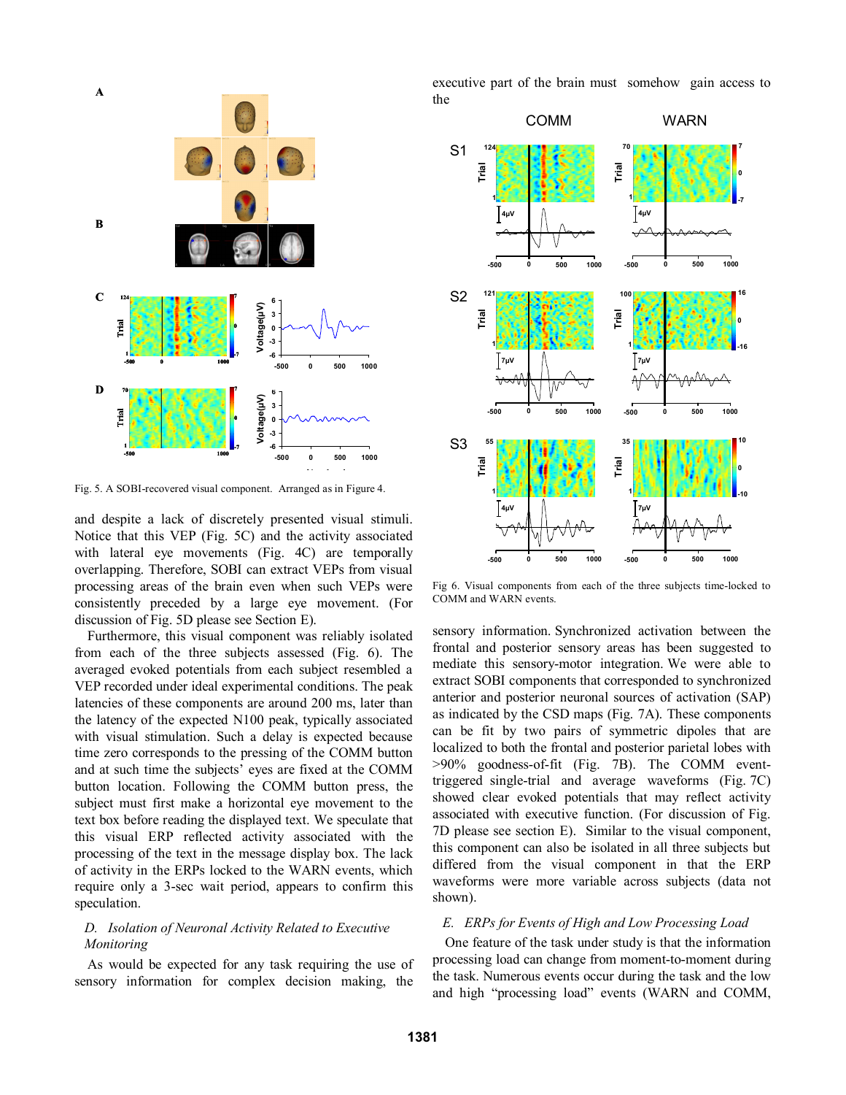

Fig. 5. A SOBI-recovered visual component. Arranged as in Figure 4.

and despite a lack of discretely presented visual stimuli. Notice that this VEP (Fig. 5C) and the activity associated with lateral eye movements (Fig. 4C) are temporally overlapping. Therefore, SOBI can extract VEPs from visual processing areas of the brain even when such VEPs were consistently preceded by a large eye movement. (For discussion of Fig. 5D please see Section E).

Furthermore, this visual component was reliably isolated from each of the three subjects assessed (Fig. 6). The averaged evoked potentials from each subject resembled a VEP recorded under ideal experimental conditions. The peak latencies of these components are around 200 ms, later than the latency of the expected N100 peak, typically associated with visual stimulation. Such a delay is expected because time zero corresponds to the pressing of the COMM button and at such time the subjects' eyes are fixed at the COMM button location. Following the COMM button press, the subject must first make a horizontal eye movement to the text box before reading the displayed text. We speculate that this visual ERP reflected activity associated with the processing of the text in the message display box. The lack of activity in the ERPs locked to the WARN events, which require only a 3-sec wait period, appears to confirm this speculation.

## *D. Isolation of Neuronal Activity Related to Executive Monitoring*

As would be expected for any task requiring the use of sensory information for complex decision making, the executive part of the brain must somehow gain access to the



Fig 6. Visual components from each of the three subjects time-locked to COMM and WARN events.

sensory information. Synchronized activation between the frontal and posterior sensory areas has been suggested to mediate this sensory-motor integration. We were able to extract SOBI components that corresponded to synchronized anterior and posterior neuronal sources of activation (SAP) as indicated by the CSD maps (Fig. 7A). These components can be fit by two pairs of symmetric dipoles that are localized to both the frontal and posterior parietal lobes with >90% goodness-of-fit (Fig. 7B). The COMM eventtriggered single-trial and average waveforms (Fig. 7C) showed clear evoked potentials that may reflect activity associated with executive function. (For discussion of Fig. 7D please see section E). Similar to the visual component, this component can also be isolated in all three subjects but differed from the visual component in that the ERP waveforms were more variable across subjects (data not shown).

## *E. ERPs for Events of High and Low Processing Load*

One feature of the task under study is that the information processing load can change from moment-to-moment during the task. Numerous events occur during the task and the low and high "processing load" events (WARN and COMM,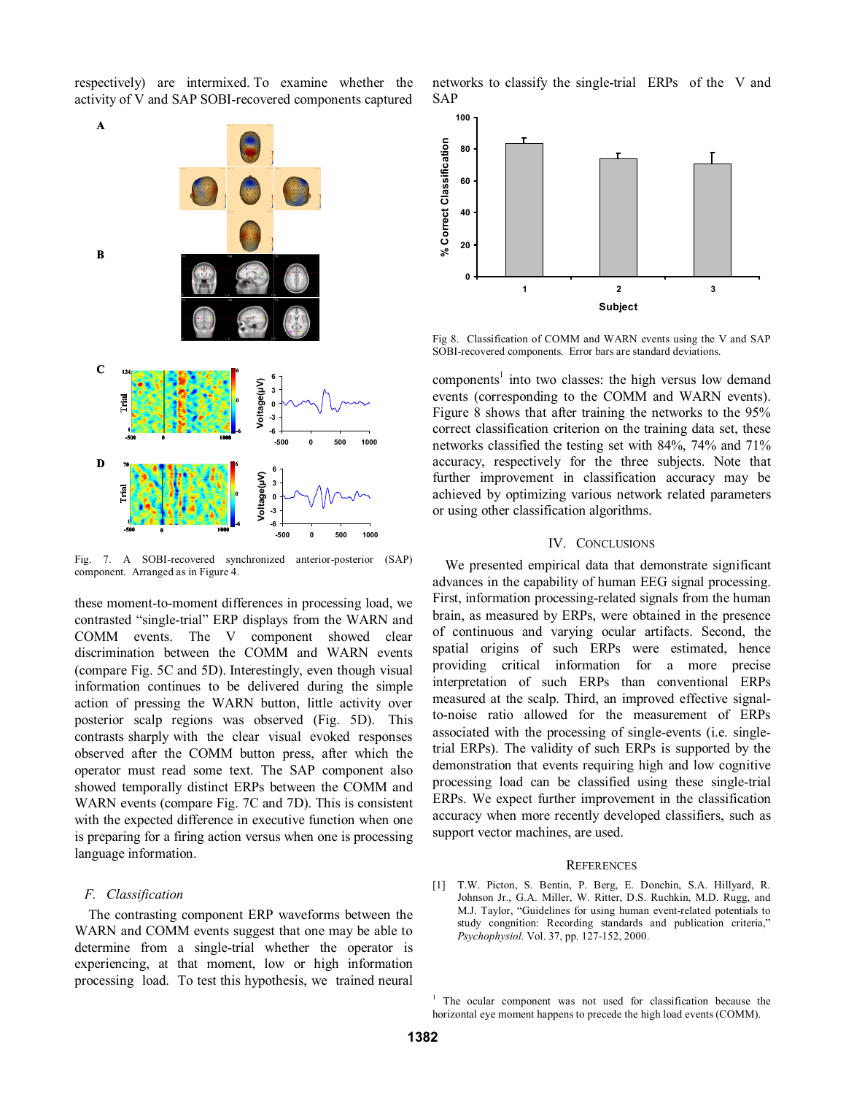respectively) are intermixed. To examine whether the activity of V and SAP SOBI-recovered components captured



Fig. 7. A SOBI-recovered synchronized anterior-posterior (SAP) component. Arranged as in Figure 4.

these moment-to-moment differences in processing load, we contrasted "single-trial" ERP displays from the WARN and COMM events. The V component showed clear discrimination between the COMM and WARN events (compare Fig. 5C and 5D). Interestingly, even though visual information continues to be delivered during the simple action of pressing the WARN button, little activity over posterior scalp regions was observed (Fig. 5D). This contrasts sharply with the clear visual evoked responses observed after the COMM button press, after which the operator must read some text. The SAP component also showed temporally distinct ERPs between the COMM and WARN events (compare Fig. 7C and 7D). This is consistent with the expected difference in executive function when one is preparing for a firing action versus when one is processing language information.

#### *F. Classification*

 The contrasting component ERP waveforms between the WARN and COMM events suggest that one may be able to determine from a single-trial whether the operator is experiencing, at that moment, low or high information processing load. To test this hypothesis, we trained neural networks to classify the single-trial ERPs of the V and SAP



Fig 8. Classification of COMM and WARN events using the V and SAP SOBI-recovered components. Error bars are standard deviations.

components<sup>1</sup> into two classes: the high versus low demand events (corresponding to the COMM and WARN events). Figure 8 shows that after training the networks to the 95% correct classification criterion on the training data set, these networks classified the testing set with 84%, 74% and 71% accuracy, respectively for the three subjects. Note that further improvement in classification accuracy may be achieved by optimizing various network related parameters or using other classification algorithms.

#### IV. CONCLUSIONS

We presented empirical data that demonstrate significant advances in the capability of human EEG signal processing. First, information processing-related signals from the human brain, as measured by ERPs, were obtained in the presence of continuous and varying ocular artifacts. Second, the spatial origins of such ERPs were estimated, hence providing critical information for a more precise interpretation of such ERPs than conventional ERPs measured at the scalp. Third, an improved effective signalto-noise ratio allowed for the measurement of ERPs associated with the processing of single-events (i.e. singletrial ERPs). The validity of such ERPs is supported by the demonstration that events requiring high and low cognitive processing load can be classified using these single-trial ERPs. We expect further improvement in the classification accuracy when more recently developed classifiers, such as support vector machines, are used.

#### **REFERENCES**

[1] T.W. Picton, S. Bentin, P. Berg, E. Donchin, S.A. Hillyard, R. Johnson Jr., G.A. Miller, W. Ritter, D.S. Ruchkin, M.D. Rugg, and M.J. Taylor, "Guidelines for using human event-related potentials to study congnition: Recording standards and publication criteria," *Psychophysiol.* Vol. 37, pp. 127-152, 2000.

<sup>&</sup>lt;sup>1</sup> The ocular component was not used for classification because the horizontal eye moment happens to precede the high load events (COMM).